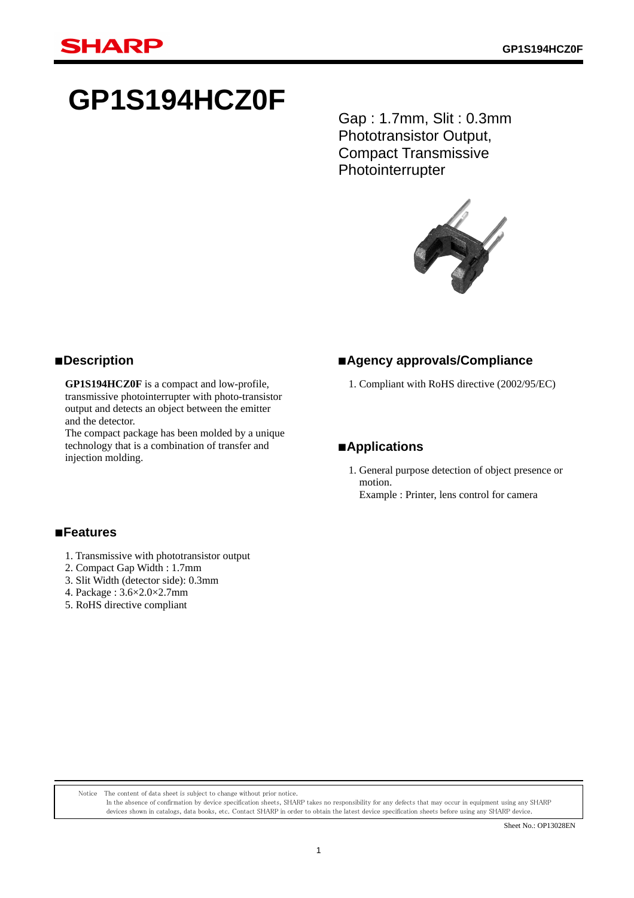# **GP1S194HCZ0F**

Gap : 1.7mm, Slit : 0.3mm Phototransistor Output, Compact Transmissive **Photointerrupter** 



#### ■**Description**

 **GP1S194HCZ0F** is a compact and low-profile, transmissive photointerrupter with photo-transistor output and detects an object between the emitter and the detector.

 The compact package has been molded by a unique technology that is a combination of transfer and injection molding.

#### ■**Agency approvals/Compliance**

1. Compliant with RoHS directive (2002/95/EC)

#### ■**Applications**

1. General purpose detection of object presence or motion. Example : Printer, lens control for camera

#### ■**Features**

- 1. Transmissive with phototransistor output
- 2. Compact Gap Width : 1.7mm
- 3. Slit Width (detector side): 0.3mm
- 4. Package : 3.6×2.0×2.7mm
- 5. RoHS directive compliant

Notice The content of data sheet is subject to change without prior notice.

In the absence of confirmation by device specification sheets, SHARP takes no responsibility for any defects that may occur in equipment using any SHARP devices shown in catalogs, data books, etc. Contact SHARP in order to obtain the latest device specification sheets before using any SHARP device.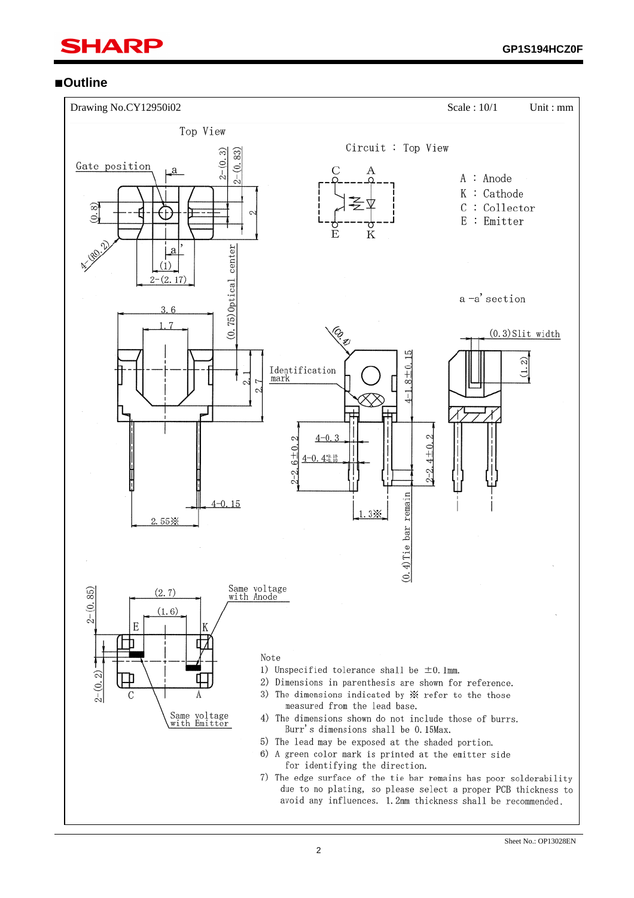## SHARP í

#### ■**Outline**

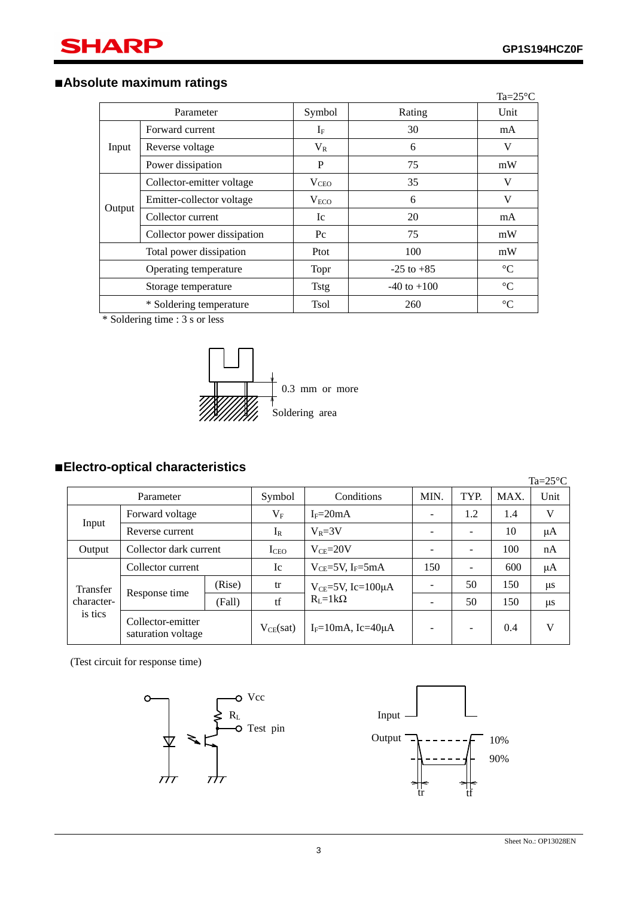#### ■**Absolute maximum ratings**

|                                                |                             |                  |                 | $Ta=25^{\circ}C$ |
|------------------------------------------------|-----------------------------|------------------|-----------------|------------------|
|                                                | Parameter                   | Symbol           | Rating          | Unit             |
|                                                | Forward current             | $I_{\rm F}$      | 30              | mA               |
| Input                                          | Reverse voltage             | $V_{R}$          | 6               | V                |
|                                                | Power dissipation           | P                | 75              | mW               |
|                                                | Collector-emitter voltage   | $V_{CEO}$        | 35              | V                |
|                                                | Emitter-collector voltage   | V <sub>ECO</sub> | 6               | V                |
| Output                                         | Collector current           | Ic               | 20              | mA               |
|                                                | Collector power dissipation | $P_{\rm C}$      | 75              | mW               |
| Total power dissipation                        |                             | Ptot             | 100             | mW               |
| Operating temperature                          |                             | <b>Topr</b>      | $-25$ to $+85$  | $\rm ^{\circ}C$  |
| Storage temperature<br>* Soldering temperature |                             | <b>Tstg</b>      | $-40$ to $+100$ | $\rm ^{\circ}C$  |
|                                                |                             | <b>Tsol</b>      | 260             | $\rm ^{\circ}C$  |

\* Soldering time : 3 s or less



#### ■**Electro-optical characteristics**

 Ta=25°C Parameter Symbol Conditions MIN. TYP. MAX. Unit Input Forward voltage  $V_F$   $I_F=20mA$  - 1.2 1.4 V Reverse current  $I_R$   $V_R=3V$  - 10  $\mu A$ Output Collector dark current  $I_{CEO}$   $V_{CE}=20V$   $-$  - 100 nA Transfer characteris tics Collector current Ic  $V_{CE}=5V$ ,  $I_F=5mA$  150 - 600 μA Response time (Rise) tr  $V_{CE}$ =5V, Ic=100 $\mu$ A  $R_L=1k\Omega$  $-$  50 150  $\mu$ s (Fall) tf  $R_L = 1k\Omega$  - 50 150 μs Collector-emitter Conector-emitter  $V_{CE}(sat)$  I<sub>F</sub>=10mA, Ic=40μA - - 0.4 V

(Test circuit for response time)



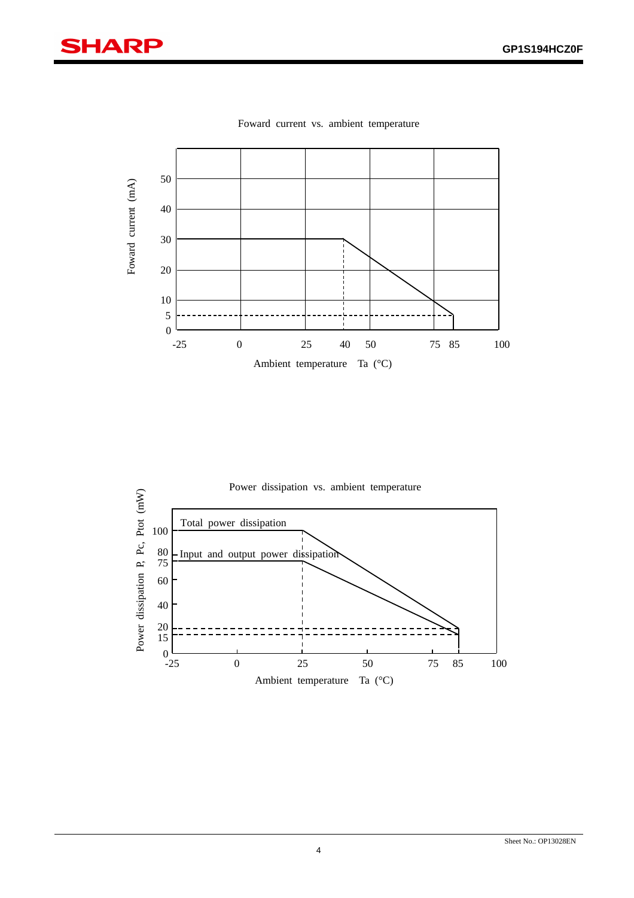# **SHARP**

í



Foward current vs. ambient temperature

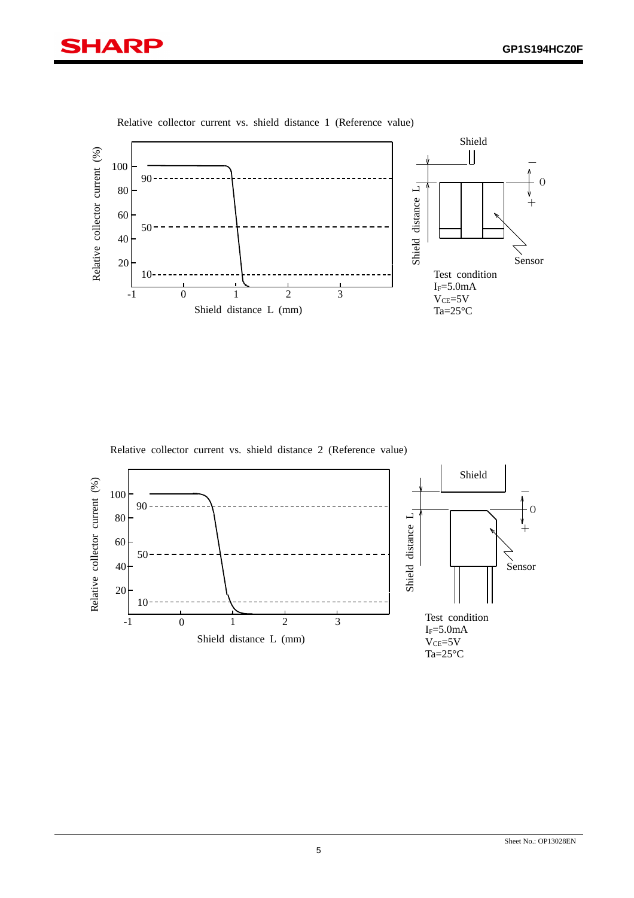



Relative collector current vs. shield distance 1 (Reference value)

Relative collector current vs. shield distance 2 (Reference value)

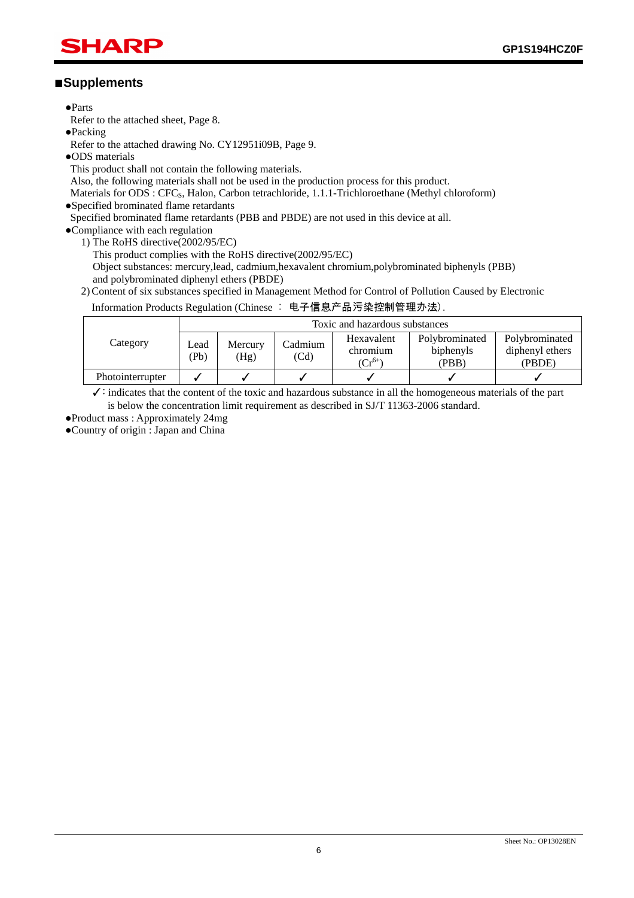### SHARP í

#### ■**Supplements**

●Parts

Refer to the attached sheet, Page 8.

●Packing

Refer to the attached drawing No. CY12951i09B, Page 9.

●ODS materials

This product shall not contain the following materials.

Also, the following materials shall not be used in the production process for this product.

Materials for ODS : CFC<sub>S</sub>, Halon, Carbon tetrachloride, 1.1.1-Trichloroethane (Methyl chloroform)

●Specified brominated flame retardants

Specified brominated flame retardants (PBB and PBDE) are not used in this device at all.

- ●Compliance with each regulation
	- 1) The RoHS directive(2002/95/EC)
		- This product complies with the RoHS directive(2002/95/EC) Object substances: mercury,lead, cadmium,hexavalent chromium,polybrominated biphenyls (PBB) and polybrominated diphenyl ethers (PBDE)
	- 2) Content of six substances specified in Management Method for Control of Pollution Caused by Electronic

#### Information Products Regulation (Chinese : 电子信息产品污染控制管理办法).

|                  | Toxic and hazardous substances |                 |                 |                                       |                                      |                                             |
|------------------|--------------------------------|-----------------|-----------------|---------------------------------------|--------------------------------------|---------------------------------------------|
| Category         | Lead<br>(Pb)                   | Mercury<br>(Hg) | Cadmium<br>(Cd) | Hexavalent<br>chromium<br>$(Cr^{6+})$ | Polybrominated<br>biphenyls<br>(PBB) | Polybrominated<br>diphenyl ethers<br>(PBDE) |
| Photointerrupter |                                |                 |                 |                                       |                                      |                                             |

✓: indicates that the content of the toxic and hazardous substance in all the homogeneous materials of the part is below the concentration limit requirement as described in SJ/T 11363-2006 standard.

●Product mass : Approximately 24mg

●Country of origin : Japan and China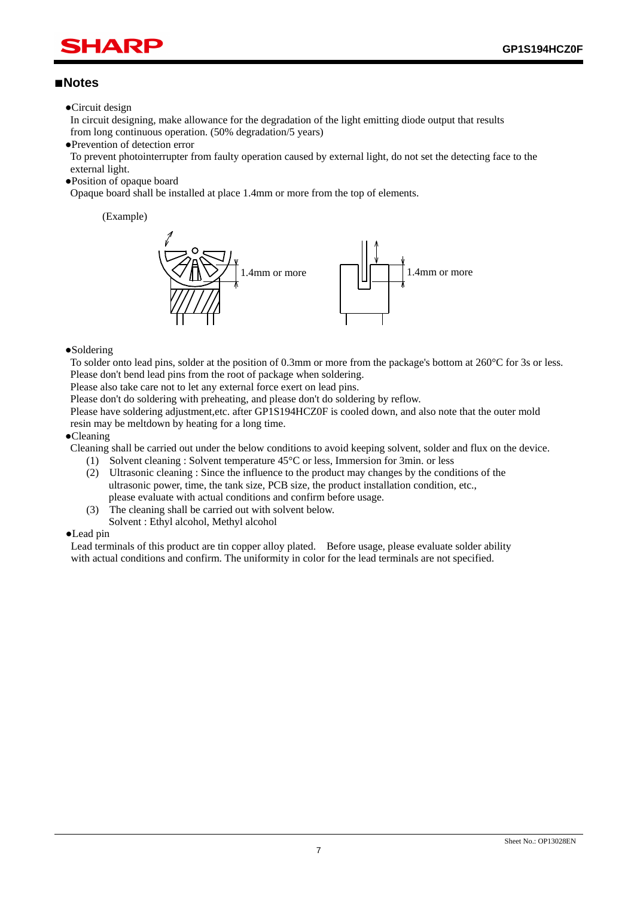## HAR í

#### ■**Notes**

●Circuit design

In circuit designing, make allowance for the degradation of the light emitting diode output that results from long continuous operation. (50% degradation/5 years)

●Prevention of detection error

To prevent photointerrupter from faulty operation caused by external light, do not set the detecting face to the external light.

●Position of opaque board

Opaque board shall be installed at place 1.4mm or more from the top of elements.

(Example)



#### ●Soldering

To solder onto lead pins, solder at the position of 0.3mm or more from the package's bottom at 260°C for 3s or less. Please don't bend lead pins from the root of package when soldering.

Please also take care not to let any external force exert on lead pins.

Please don't do soldering with preheating, and please don't do soldering by reflow.

Please have soldering adjustment,etc. after GP1S194HCZ0F is cooled down, and also note that the outer mold resin may be meltdown by heating for a long time.

#### ●Cleaning

Cleaning shall be carried out under the below conditions to avoid keeping solvent, solder and flux on the device.

- (1) Solvent cleaning : Solvent temperature 45°C or less, Immersion for 3min. or less
- (2) Ultrasonic cleaning : Since the influence to the product may changes by the conditions of the ultrasonic power, time, the tank size, PCB size, the product installation condition, etc., please evaluate with actual conditions and confirm before usage.
- (3) The cleaning shall be carried out with solvent below.
- Solvent : Ethyl alcohol, Methyl alcohol

#### ●Lead pin

Lead terminals of this product are tin copper alloy plated. Before usage, please evaluate solder ability with actual conditions and confirm. The uniformity in color for the lead terminals are not specified.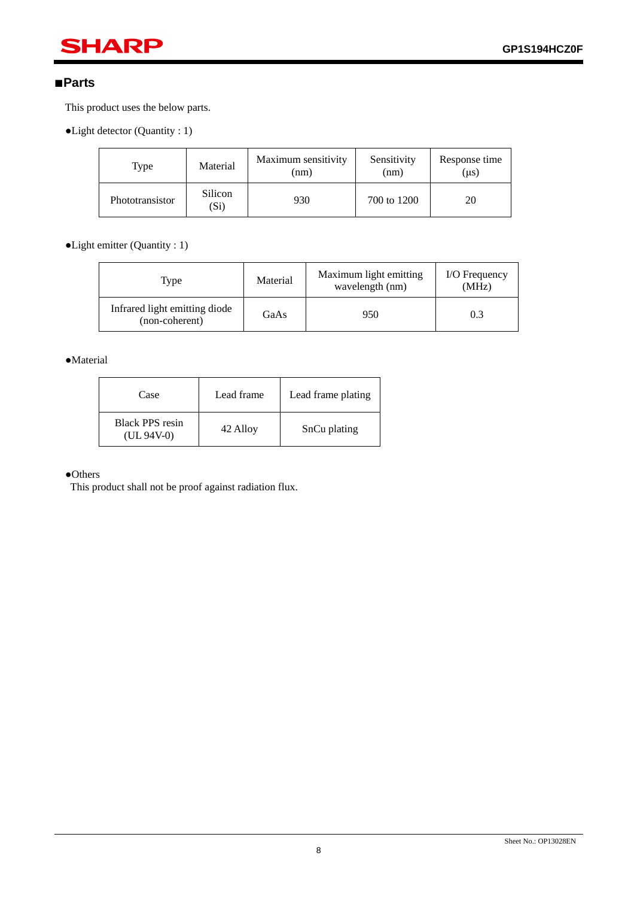# **SHARP**

#### ■**Parts**

í

This product uses the below parts.

●Light detector (Quantity : 1)

| Type            | Material        | Maximum sensitivity<br>(nm) | Sensitivity<br>(nm) | Response time<br>$(\mu s)$ |
|-----------------|-----------------|-----------------------------|---------------------|----------------------------|
| Phototransistor | Silicon<br>(Si) | 930                         | 700 to 1200         | 20                         |

●Light emitter (Quantity : 1)

| Type                                            | Material | Maximum light emitting<br>wavelength (nm) | I/O Frequency<br>(MHz) |
|-------------------------------------------------|----------|-------------------------------------------|------------------------|
| Infrared light emitting diode<br>(non-coherent) | GaAs     | 950                                       | 0.3                    |

●Material

| Case                            | Lead frame | Lead frame plating |
|---------------------------------|------------|--------------------|
| Black PPS resin<br>$(UL 94V-0)$ | 42 Alloy   | SnCu plating       |

#### ●Others

This product shall not be proof against radiation flux.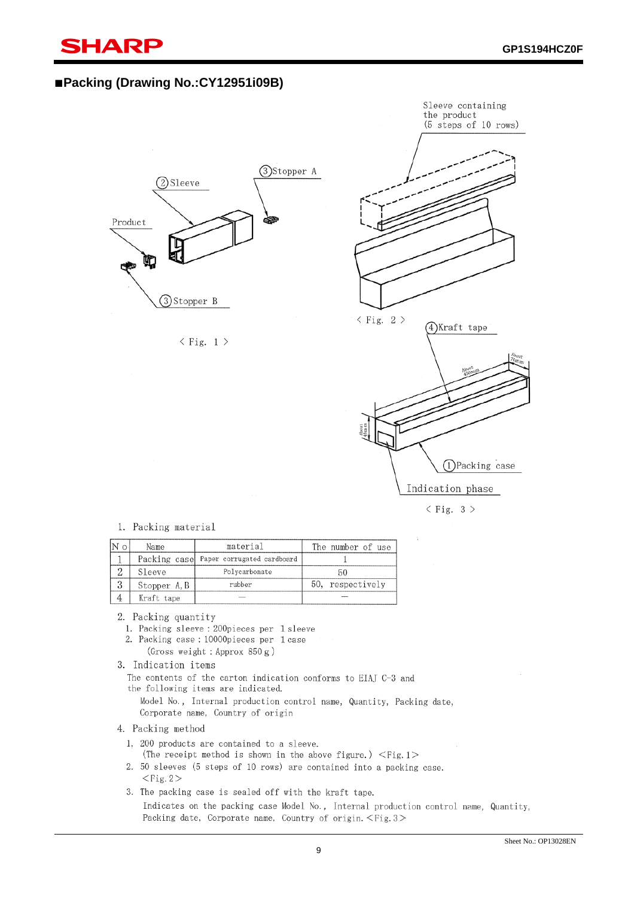# SHARP

í

#### ■**Packing (Drawing No.:CY12951i09B)**







#### 1. Packing material

| Name         | material                                | The number of use |
|--------------|-----------------------------------------|-------------------|
|              | Packing case Paper corrugated cardboard |                   |
| Sleeve       | Polycarbonate                           |                   |
| Stopper A, B | rubber                                  | 50, respectively  |
| Kraft tape   |                                         |                   |

2. Packing quantity

1. Packing sleeve: 200pieces per 1 sleeve

2. Packing case: 10000pieces per 1 case (Gross weight: Approx 850g)

```
3. Indication items
```
The contents of the carton indication conforms to EIAJ C-3 and the following items are indicated.

Model No., Internal production control name, Quantity, Packing date, Corporate name, Country of origin

4. Packing method

- 1, 200 products are contained to a sleeve.
- (The receipt method is shown in the above figure.)  $\langle$ Fig.1 $\rangle$
- 2. 50 sleeves (5 steps of 10 rows) are contained into a packing case.  $<$ Fig. 2>
- 3. The packing case is sealed off with the kraft tape. Indicates on the packing case Model No., Internal production control name, Quantity, Packing date, Corporate name, Country of origin. <Fig. 3>